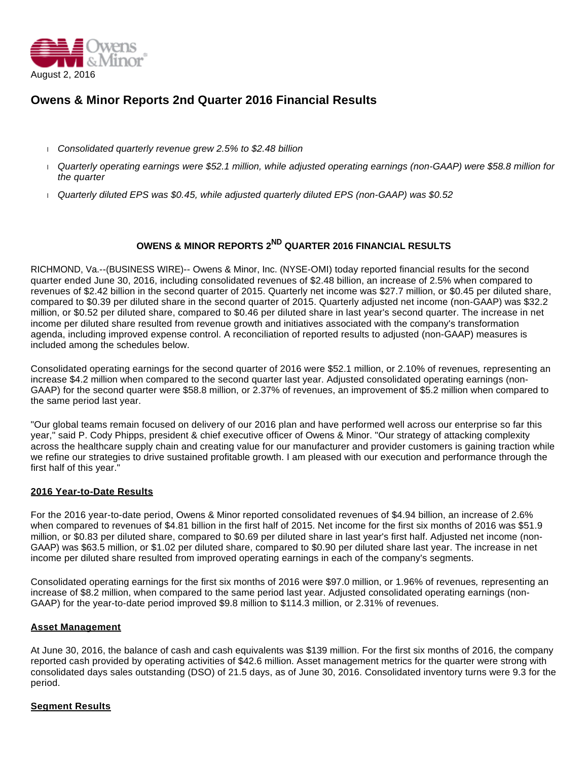

# **Owens & Minor Reports 2nd Quarter 2016 Financial Results**

- Consolidated quarterly revenue grew 2.5% to \$2.48 billion
- Quarterly operating earnings were \$52.1 million, while adjusted operating earnings (non-GAAP) were \$58.8 million for the quarter
- Quarterly diluted EPS was \$0.45, while adjusted quarterly diluted EPS (non-GAAP) was \$0.52

# **OWENS & MINOR REPORTS 2ND QUARTER 2016 FINANCIAL RESULTS**

RICHMOND, Va.--(BUSINESS WIRE)-- Owens & Minor, Inc. (NYSE-OMI) today reported financial results for the second quarter ended June 30, 2016, including consolidated revenues of \$2.48 billion, an increase of 2.5% when compared to revenues of \$2.42 billion in the second quarter of 2015. Quarterly net income was \$27.7 million, or \$0.45 per diluted share, compared to \$0.39 per diluted share in the second quarter of 2015. Quarterly adjusted net income (non-GAAP) was \$32.2 million, or \$0.52 per diluted share, compared to \$0.46 per diluted share in last year's second quarter. The increase in net income per diluted share resulted from revenue growth and initiatives associated with the company's transformation agenda, including improved expense control. A reconciliation of reported results to adjusted (non-GAAP) measures is included among the schedules below.

Consolidated operating earnings for the second quarter of 2016 were \$52.1 million, or 2.10% of revenues, representing an increase \$4.2 million when compared to the second quarter last year. Adjusted consolidated operating earnings (non-GAAP) for the second quarter were \$58.8 million, or 2.37% of revenues, an improvement of \$5.2 million when compared to the same period last year.

"Our global teams remain focused on delivery of our 2016 plan and have performed well across our enterprise so far this year," said P. Cody Phipps, president & chief executive officer of Owens & Minor. "Our strategy of attacking complexity across the healthcare supply chain and creating value for our manufacturer and provider customers is gaining traction while we refine our strategies to drive sustained profitable growth. I am pleased with our execution and performance through the first half of this year."

## **2016 Year-to-Date Results**

For the 2016 year-to-date period, Owens & Minor reported consolidated revenues of \$4.94 billion, an increase of 2.6% when compared to revenues of \$4.81 billion in the first half of 2015. Net income for the first six months of 2016 was \$51.9 million, or \$0.83 per diluted share, compared to \$0.69 per diluted share in last year's first half. Adjusted net income (non-GAAP) was \$63.5 million, or \$1.02 per diluted share, compared to \$0.90 per diluted share last year. The increase in net income per diluted share resulted from improved operating earnings in each of the company's segments.

Consolidated operating earnings for the first six months of 2016 were \$97.0 million, or 1.96% of revenues, representing an increase of \$8.2 million, when compared to the same period last year. Adjusted consolidated operating earnings (non-GAAP) for the year-to-date period improved \$9.8 million to \$114.3 million, or 2.31% of revenues.

## **Asset Management**

At June 30, 2016, the balance of cash and cash equivalents was \$139 million. For the first six months of 2016, the company reported cash provided by operating activities of \$42.6 million. Asset management metrics for the quarter were strong with consolidated days sales outstanding (DSO) of 21.5 days, as of June 30, 2016. Consolidated inventory turns were 9.3 for the period.

## **Segment Results**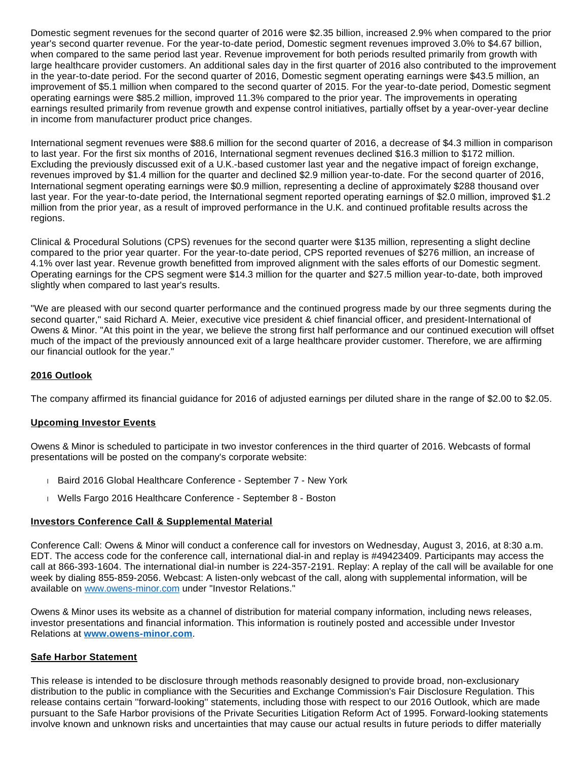Domestic segment revenues for the second quarter of 2016 were \$2.35 billion, increased 2.9% when compared to the prior year's second quarter revenue. For the year-to-date period, Domestic segment revenues improved 3.0% to \$4.67 billion, when compared to the same period last year. Revenue improvement for both periods resulted primarily from growth with large healthcare provider customers. An additional sales day in the first quarter of 2016 also contributed to the improvement in the year-to-date period. For the second quarter of 2016, Domestic segment operating earnings were \$43.5 million, an improvement of \$5.1 million when compared to the second quarter of 2015. For the year-to-date period, Domestic segment operating earnings were \$85.2 million, improved 11.3% compared to the prior year. The improvements in operating earnings resulted primarily from revenue growth and expense control initiatives, partially offset by a year-over-year decline in income from manufacturer product price changes.

International segment revenues were \$88.6 million for the second quarter of 2016, a decrease of \$4.3 million in comparison to last year. For the first six months of 2016, International segment revenues declined \$16.3 million to \$172 million. Excluding the previously discussed exit of a U.K.-based customer last year and the negative impact of foreign exchange, revenues improved by \$1.4 million for the quarter and declined \$2.9 million year-to-date. For the second quarter of 2016, International segment operating earnings were \$0.9 million, representing a decline of approximately \$288 thousand over last year. For the year-to-date period, the International segment reported operating earnings of \$2.0 million, improved \$1.2 million from the prior year, as a result of improved performance in the U.K. and continued profitable results across the regions.

Clinical & Procedural Solutions (CPS) revenues for the second quarter were \$135 million, representing a slight decline compared to the prior year quarter. For the year-to-date period, CPS reported revenues of \$276 million, an increase of 4.1% over last year. Revenue growth benefitted from improved alignment with the sales efforts of our Domestic segment. Operating earnings for the CPS segment were \$14.3 million for the quarter and \$27.5 million year-to-date, both improved slightly when compared to last year's results.

"We are pleased with our second quarter performance and the continued progress made by our three segments during the second quarter," said Richard A. Meier, executive vice president & chief financial officer, and president-International of Owens & Minor. "At this point in the year, we believe the strong first half performance and our continued execution will offset much of the impact of the previously announced exit of a large healthcare provider customer. Therefore, we are affirming our financial outlook for the year."

# **2016 Outlook**

The company affirmed its financial guidance for 2016 of adjusted earnings per diluted share in the range of \$2.00 to \$2.05.

# **Upcoming Investor Events**

Owens & Minor is scheduled to participate in two investor conferences in the third quarter of 2016. Webcasts of formal presentations will be posted on the company's corporate website:

- Baird 2016 Global Healthcare Conference September 7 New York
- Wells Fargo 2016 Healthcare Conference September 8 Boston

## **Investors Conference Call & Supplemental Material**

Conference Call: Owens & Minor will conduct a conference call for investors on Wednesday, August 3, 2016, at 8:30 a.m. EDT. The access code for the conference call, international dial-in and replay is #49423409. Participants may access the call at 866-393-1604. The international dial-in number is 224-357-2191. Replay: A replay of the call will be available for one week by dialing 855-859-2056. Webcast: A listen-only webcast of the call, along with supplemental information, will be available on [www.owens-minor.com](http://cts.businesswire.com/ct/CT?id=smartlink&url=http%3A%2F%2Fwww.owens-minor.com&esheet=51394205&newsitemid=20160802006989&lan=en-US&anchor=www.owens-minor.com&index=1&md5=611c7794b4a381d90d0656a7f9fd7be3) under "Investor Relations."

Owens & Minor uses its website as a channel of distribution for material company information, including news releases, investor presentations and financial information. This information is routinely posted and accessible under Investor Relations at **[www.owens-minor.com](http://cts.businesswire.com/ct/CT?id=smartlink&url=http%3A%2F%2Fwww.owens-minor.com&esheet=51394205&newsitemid=20160802006989&lan=en-US&anchor=www.owens-minor.com&index=2&md5=3aa330a9ada9f51eb3d52fc321789613)**.

## **Safe Harbor Statement**

This release is intended to be disclosure through methods reasonably designed to provide broad, non-exclusionary distribution to the public in compliance with the Securities and Exchange Commission's Fair Disclosure Regulation. This release contains certain ''forward-looking'' statements, including those with respect to our 2016 Outlook, which are made pursuant to the Safe Harbor provisions of the Private Securities Litigation Reform Act of 1995. Forward-looking statements involve known and unknown risks and uncertainties that may cause our actual results in future periods to differ materially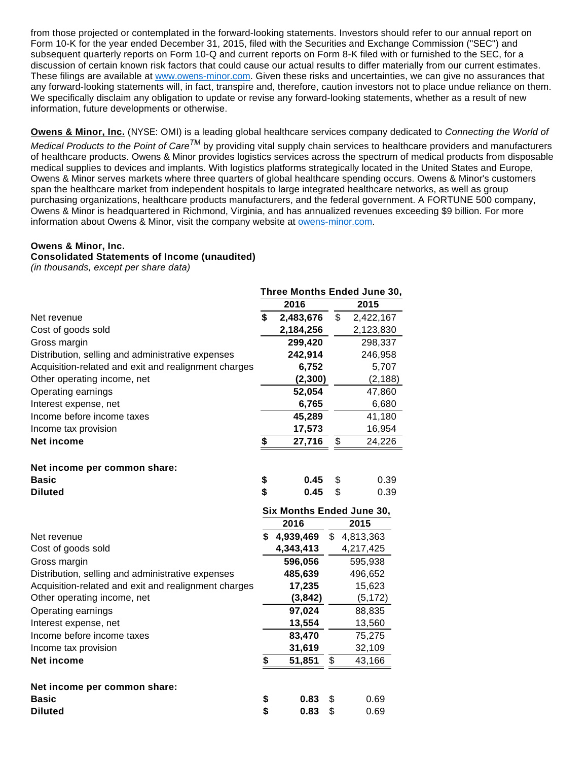from those projected or contemplated in the forward-looking statements. Investors should refer to our annual report on Form 10-K for the year ended December 31, 2015, filed with the Securities and Exchange Commission ("SEC") and subsequent quarterly reports on Form 10-Q and current reports on Form 8-K filed with or furnished to the SEC, for a discussion of certain known risk factors that could cause our actual results to differ materially from our current estimates. These filings are available at [www.owens-minor.com.](http://cts.businesswire.com/ct/CT?id=smartlink&url=http%3A%2F%2Fwww.owens-minor.com&esheet=51394205&newsitemid=20160802006989&lan=en-US&anchor=www.owens-minor.com&index=3&md5=ed6595bef157f07b12221787ac18dd29) Given these risks and uncertainties, we can give no assurances that any forward-looking statements will, in fact, transpire and, therefore, caution investors not to place undue reliance on them. We specifically disclaim any obligation to update or revise any forward-looking statements, whether as a result of new information, future developments or otherwise.

**Owens & Minor, Inc.** (NYSE: OMI) is a leading global healthcare services company dedicated to Connecting the World of Medical Products to the Point of Care<sup>TM</sup> by providing vital supply chain services to healthcare providers and manufacturers of healthcare products. Owens & Minor provides logistics services across the spectrum of medical products from disposable medical supplies to devices and implants. With logistics platforms strategically located in the United States and Europe, Owens & Minor serves markets where three quarters of global healthcare spending occurs. Owens & Minor's customers span the healthcare market from independent hospitals to large integrated healthcare networks, as well as group purchasing organizations, healthcare products manufacturers, and the federal government. A FORTUNE 500 company, Owens & Minor is headquartered in Richmond, Virginia, and has annualized revenues exceeding \$9 billion. For more information about Owens & Minor, visit the company website at **owens-minor.com**.

## **Owens & Minor, Inc.**

## **Consolidated Statements of Income (unaudited)**

(in thousands, except per share data)

|                                                      |    |                           |                | Three Months Ended June 30, |
|------------------------------------------------------|----|---------------------------|----------------|-----------------------------|
|                                                      |    | 2016                      |                | 2015                        |
| Net revenue                                          | \$ | 2,483,676                 | \$             | 2,422,167                   |
| Cost of goods sold                                   |    | 2,184,256                 |                | 2,123,830                   |
| Gross margin                                         |    | 299,420                   |                | 298,337                     |
| Distribution, selling and administrative expenses    |    | 242,914                   |                | 246,958                     |
| Acquisition-related and exit and realignment charges |    | 6,752                     |                | 5,707                       |
| Other operating income, net                          |    | (2, 300)                  |                | (2, 188)                    |
| Operating earnings                                   |    | 52,054                    |                | 47,860                      |
| Interest expense, net                                |    | 6,765                     |                | 6,680                       |
| Income before income taxes                           |    | 45,289                    |                | 41,180                      |
| Income tax provision                                 |    | 17,573                    |                | 16,954                      |
| <b>Net income</b>                                    | \$ | 27,716                    | \$             | 24,226                      |
|                                                      |    |                           |                |                             |
| Net income per common share:                         |    |                           |                |                             |
| <b>Basic</b>                                         | \$ | 0.45                      | \$             | 0.39                        |
| <b>Diluted</b>                                       | \$ | 0.45                      | \$             | 0.39                        |
|                                                      |    |                           |                |                             |
|                                                      |    | Six Months Ended June 30, |                |                             |
|                                                      |    | 2016                      |                | 2015                        |
| Net revenue                                          | S  | 4,939,469                 | $\mathfrak{S}$ | 4,813,363                   |
| Cost of goods sold                                   |    | 4,343,413                 |                | 4,217,425                   |
| Gross margin                                         |    | 596,056                   |                | 595,938                     |
| Distribution, selling and administrative expenses    |    | 485,639                   |                | 496,652                     |
| Acquisition-related and exit and realignment charges |    | 17,235                    |                | 15,623                      |
| Other operating income, net                          |    | (3, 842)                  |                | (5, 172)                    |
| Operating earnings                                   |    | 97,024                    |                | 88,835                      |
| Interest expense, net                                |    | 13,554                    |                | 13,560                      |
| Income before income taxes                           |    | 83,470                    |                | 75,275                      |
| Income tax provision                                 |    | 31,619                    |                | 32,109                      |
| <b>Net income</b>                                    | \$ | 51,851                    | \$             | 43,166                      |
|                                                      |    |                           |                |                             |
| Net income per common share:<br><b>Basic</b>         | \$ | 0.83                      | \$             | 0.69                        |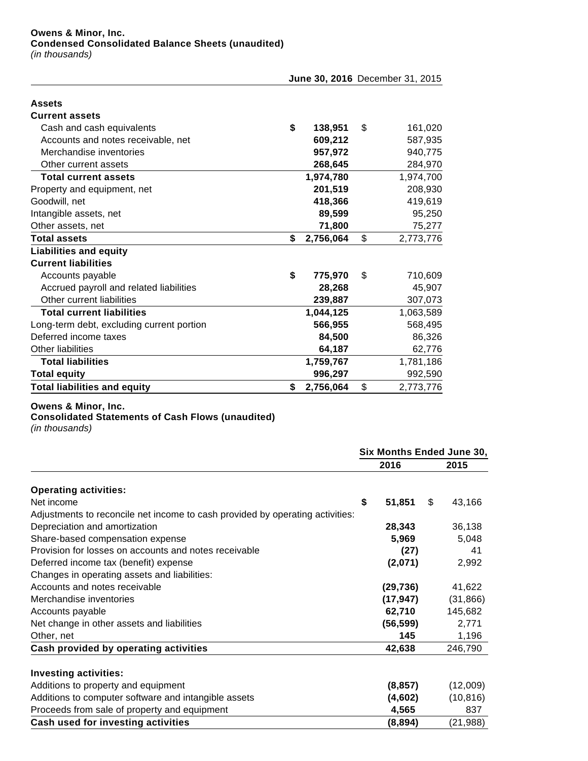# **Owens & Minor, Inc.**

**Condensed Consolidated Balance Sheets (unaudited)** (in thousands)

| <b>Assets</b>                             |                 |                 |
|-------------------------------------------|-----------------|-----------------|
| <b>Current assets</b>                     |                 |                 |
| Cash and cash equivalents                 | \$<br>138,951   | \$<br>161,020   |
| Accounts and notes receivable, net        | 609,212         | 587,935         |
| Merchandise inventories                   | 957,972         | 940,775         |
| Other current assets                      | 268,645         | 284,970         |
| <b>Total current assets</b>               | 1,974,780       | 1,974,700       |
| Property and equipment, net               | 201,519         | 208,930         |
| Goodwill, net                             | 418,366         | 419,619         |
| Intangible assets, net                    | 89,599          | 95,250          |
| Other assets, net                         | 71,800          | 75,277          |
| <b>Total assets</b>                       | \$<br>2,756,064 | \$<br>2,773,776 |
| <b>Liabilities and equity</b>             |                 |                 |
| <b>Current liabilities</b>                |                 |                 |
| Accounts payable                          | \$<br>775,970   | \$<br>710,609   |
| Accrued payroll and related liabilities   | 28,268          | 45,907          |
| Other current liabilities                 | 239,887         | 307,073         |
| <b>Total current liabilities</b>          | 1,044,125       | 1,063,589       |
| Long-term debt, excluding current portion | 566,955         | 568,495         |
| Deferred income taxes                     | 84,500          | 86,326          |
| <b>Other liabilities</b>                  | 64,187          | 62,776          |
| <b>Total liabilities</b>                  | 1,759,767       | 1,781,186       |
| <b>Total equity</b>                       | 996,297         | 992,590         |
| <b>Total liabilities and equity</b>       | \$<br>2,756,064 | \$<br>2,773,776 |

# **Owens & Minor, Inc.**

# **Consolidated Statements of Cash Flows (unaudited)**

(in thousands)

|                                                                               |    | Six Months Ended June 30, |    |           |
|-------------------------------------------------------------------------------|----|---------------------------|----|-----------|
|                                                                               |    | 2016                      |    | 2015      |
| <b>Operating activities:</b>                                                  |    |                           |    |           |
| Net income                                                                    | \$ | 51,851                    | \$ | 43,166    |
| Adjustments to reconcile net income to cash provided by operating activities: |    |                           |    |           |
| Depreciation and amortization                                                 |    | 28,343                    |    | 36,138    |
| Share-based compensation expense                                              |    | 5,969                     |    | 5,048     |
| Provision for losses on accounts and notes receivable                         |    | (27)                      |    | 41        |
| Deferred income tax (benefit) expense                                         |    | (2,071)                   |    | 2,992     |
| Changes in operating assets and liabilities:                                  |    |                           |    |           |
| Accounts and notes receivable                                                 |    | (29, 736)                 |    | 41,622    |
| Merchandise inventories                                                       |    | (17, 947)                 |    | (31, 866) |
| Accounts payable                                                              |    | 62,710                    |    | 145,682   |
| Net change in other assets and liabilities                                    |    | (56, 599)                 |    | 2,771     |
| Other, net                                                                    |    | 145                       |    | 1,196     |
| Cash provided by operating activities                                         |    | 42,638                    |    | 246,790   |
| <b>Investing activities:</b>                                                  |    |                           |    |           |
| Additions to property and equipment                                           |    | (8, 857)                  |    | (12,009)  |
| Additions to computer software and intangible assets                          |    | (4,602)                   |    | (10, 816) |
| Proceeds from sale of property and equipment                                  |    | 4,565                     |    | 837       |
| Cash used for investing activities                                            |    | (8,894)                   |    | (21,988)  |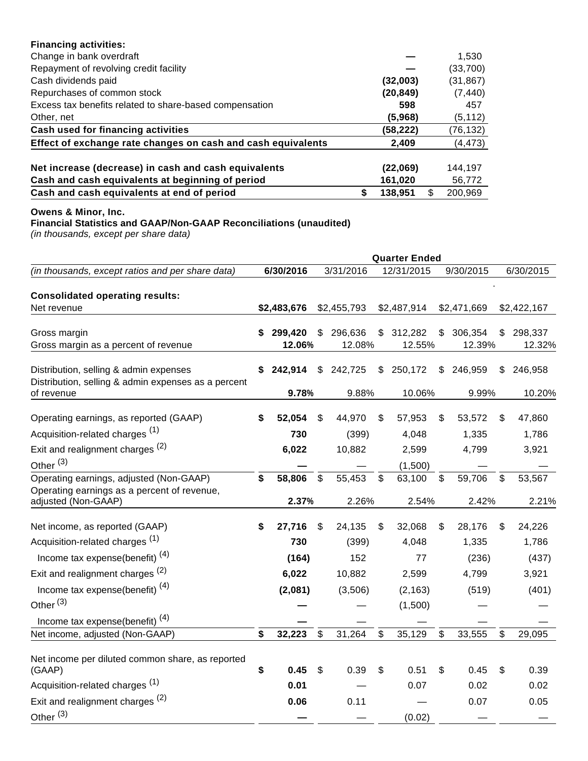| <b>Financing activities:</b>                                 |               |           |
|--------------------------------------------------------------|---------------|-----------|
| Change in bank overdraft                                     |               | 1,530     |
| Repayment of revolving credit facility                       |               | (33,700)  |
| Cash dividends paid                                          | (32,003)      | (31, 867) |
| Repurchases of common stock                                  | (20, 849)     | (7, 440)  |
| Excess tax benefits related to share-based compensation      | 598           | 457       |
| Other, net                                                   | (5,968)       | (5, 112)  |
| Cash used for financing activities                           | (58, 222)     | (76,132)  |
| Effect of exchange rate changes on cash and cash equivalents | 2,409         | (4, 473)  |
|                                                              |               |           |
| Net increase (decrease) in cash and cash equivalents         | (22,069)      | 144,197   |
| Cash and cash equivalents at beginning of period             | 161,020       | 56,772    |
| Cash and cash equivalents at end of period                   | \$<br>138,951 | 200,969   |

#### **Owens & Minor, Inc.**

#### **Financial Statistics and GAAP/Non-GAAP Reconciliations (unaudited)**

(in thousands, except per share data)

|                                                                    | <b>Quarter Ended</b> |                   |    |                   |                |                   |                |                   |    |                   |
|--------------------------------------------------------------------|----------------------|-------------------|----|-------------------|----------------|-------------------|----------------|-------------------|----|-------------------|
| (in thousands, except ratios and per share data)                   |                      | 6/30/2016         |    | 3/31/2016         |                | 12/31/2015        |                | 9/30/2015         |    | 6/30/2015         |
| <b>Consolidated operating results:</b>                             |                      |                   |    |                   |                |                   |                |                   |    |                   |
| Net revenue                                                        |                      | \$2,483,676       |    | \$2,455,793       |                | \$2,487,914       |                | \$2,471,669       |    | \$2,422,167       |
|                                                                    |                      |                   |    |                   |                |                   |                |                   |    |                   |
| Gross margin<br>Gross margin as a percent of revenue               |                      | 299,420<br>12.06% | S  | 296,636<br>12.08% | \$             | 312,282<br>12.55% | $\mathfrak{S}$ | 306,354<br>12.39% | \$ | 298,337<br>12.32% |
|                                                                    |                      |                   |    |                   |                |                   |                |                   |    |                   |
| Distribution, selling & admin expenses                             |                      | 242,914           | \$ | 242,725           | \$             | 250,172           | S              | 246,959           | S  | 246,958           |
| Distribution, selling & admin expenses as a percent<br>of revenue  |                      | 9.78%             |    | 9.88%             |                | 10.06%            |                | 9.99%             |    | 10.20%            |
|                                                                    |                      |                   |    |                   |                |                   |                |                   |    |                   |
| Operating earnings, as reported (GAAP)                             |                      | 52,054            | \$ | 44,970            | $\mathfrak{L}$ | 57,953            | \$             | 53,572            | S  | 47,860            |
| Acquisition-related charges <sup>(1)</sup>                         |                      | 730               |    | (399)             |                | 4,048             |                | 1,335             |    | 1,786             |
| Exit and realignment charges (2)                                   |                      | 6,022             |    | 10,882            |                | 2,599             |                | 4,799             |    | 3,921             |
| Other <sup>(3)</sup>                                               |                      |                   |    |                   |                | (1,500)           |                |                   |    |                   |
| Operating earnings, adjusted (Non-GAAP)                            | \$                   | 58,806            | \$ | 55,453            | \$             | 63,100            | $\mathfrak{S}$ | 59,706            | \$ | 53,567            |
| Operating earnings as a percent of revenue,<br>adjusted (Non-GAAP) |                      | 2.37%             |    | 2.26%             |                | 2.54%             |                | 2.42%             |    | 2.21%             |
|                                                                    |                      |                   |    |                   |                |                   |                |                   |    |                   |
| Net income, as reported (GAAP)                                     | \$                   | 27,716            | \$ | 24,135            | $\mathfrak{L}$ | 32,068            | \$             | 28,176            | \$ | 24,226            |
| Acquisition-related charges <sup>(1)</sup>                         |                      | 730               |    | (399)             |                | 4,048             |                | 1,335             |    | 1,786             |
| Income tax expense(benefit) <sup>(4)</sup>                         |                      | (164)             |    | 152               |                | 77                |                | (236)             |    | (437)             |
| Exit and realignment charges (2)                                   |                      | 6,022             |    | 10,882            |                | 2,599             |                | 4,799             |    | 3,921             |
| Income tax expense(benefit) <sup>(4)</sup>                         |                      | (2,081)           |    | (3,506)           |                | (2, 163)          |                | (519)             |    | (401)             |
| Other $(3)$                                                        |                      |                   |    |                   |                | (1,500)           |                |                   |    |                   |
| Income tax expense(benefit) <sup>(4)</sup>                         |                      |                   |    |                   |                |                   |                |                   |    |                   |
| Net income, adjusted (Non-GAAP)                                    | \$                   | 32,223            | \$ | 31,264            | \$             | 35,129            | \$             | 33,555            | \$ | 29,095            |
|                                                                    |                      |                   |    |                   |                |                   |                |                   |    |                   |
| Net income per diluted common share, as reported<br>(GAAP)         | \$                   | 0.45              | \$ | 0.39              | \$             | 0.51              | \$             | 0.45              | S  | 0.39              |
| Acquisition-related charges <sup>(1)</sup>                         |                      | 0.01              |    |                   |                | 0.07              |                | 0.02              |    | 0.02              |
| Exit and realignment charges <sup>(2)</sup>                        |                      | 0.06              |    | 0.11              |                |                   |                | 0.07              |    | 0.05              |
| Other <sup>(3)</sup>                                               |                      |                   |    |                   |                | (0.02)            |                |                   |    |                   |
|                                                                    |                      |                   |    |                   |                |                   |                |                   |    |                   |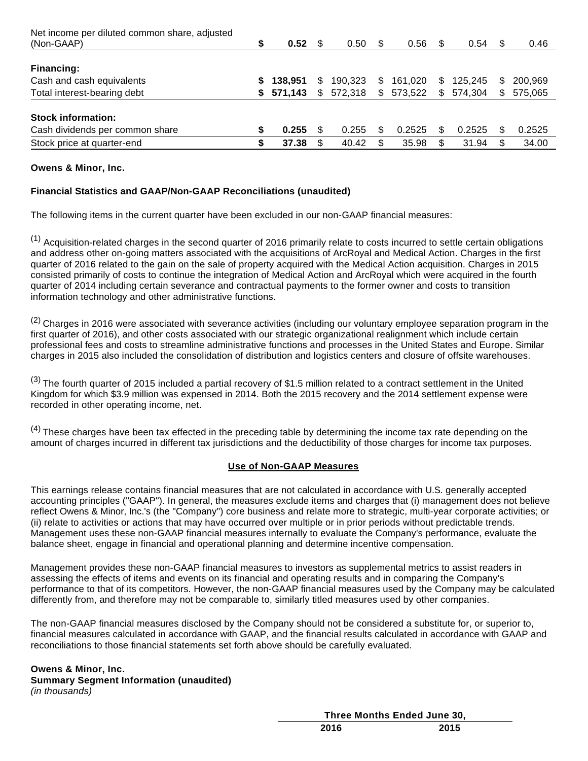| Net income per diluted common share, adjusted |    |         |     |         |    |         |    |         |     |         |
|-----------------------------------------------|----|---------|-----|---------|----|---------|----|---------|-----|---------|
| (Non-GAAP)                                    | S  | 0.52    | S   | 0.50    | \$ | 0.56    | -S | 0.54    |     | 0.46    |
|                                               |    |         |     |         |    |         |    |         |     |         |
| Financing:                                    |    |         |     |         |    |         |    |         |     |         |
| Cash and cash equivalents                     | S. | 138.951 | S   | 190.323 | S  | 161,020 | S  | 125.245 | S.  | 200,969 |
| Total interest-bearing debt                   | S. | 571.143 | \$. | 572.318 | \$ | 573,522 | \$ | 574.304 | \$. | 575,065 |
| <b>Stock information:</b>                     |    |         |     |         |    |         |    |         |     |         |
| Cash dividends per common share               |    | 0.255   |     | 0.255   | S  | 0.2525  | S. | 0.2525  |     | 0.2525  |
| Stock price at quarter-end                    | S  | 37.38   | S.  | 40.42   | \$ | 35.98   | \$ | 31.94   |     | 34.00   |
|                                               |    |         |     |         |    |         |    |         |     |         |

# **Owens & Minor, Inc.**

# **Financial Statistics and GAAP/Non-GAAP Reconciliations (unaudited)**

The following items in the current quarter have been excluded in our non-GAAP financial measures:

<sup>(1)</sup> Acquisition-related charges in the second quarter of 2016 primarily relate to costs incurred to settle certain obligations and address other on-going matters associated with the acquisitions of ArcRoyal and Medical Action. Charges in the first quarter of 2016 related to the gain on the sale of property acquired with the Medical Action acquisition. Charges in 2015 consisted primarily of costs to continue the integration of Medical Action and ArcRoyal which were acquired in the fourth quarter of 2014 including certain severance and contractual payments to the former owner and costs to transition information technology and other administrative functions.

 $<sup>(2)</sup>$  Charges in 2016 were associated with severance activities (including our voluntary employee separation program in the</sup> first quarter of 2016), and other costs associated with our strategic organizational realignment which include certain professional fees and costs to streamline administrative functions and processes in the United States and Europe. Similar charges in 2015 also included the consolidation of distribution and logistics centers and closure of offsite warehouses.

 $^{(3)}$  The fourth quarter of 2015 included a partial recovery of \$1.5 million related to a contract settlement in the United Kingdom for which \$3.9 million was expensed in 2014. Both the 2015 recovery and the 2014 settlement expense were recorded in other operating income, net.

 $<sup>(4)</sup>$  These charges have been tax effected in the preceding table by determining the income tax rate depending on the</sup> amount of charges incurred in different tax jurisdictions and the deductibility of those charges for income tax purposes.

## **Use of Non-GAAP Measures**

This earnings release contains financial measures that are not calculated in accordance with U.S. generally accepted accounting principles ("GAAP"). In general, the measures exclude items and charges that (i) management does not believe reflect Owens & Minor, Inc.'s (the "Company") core business and relate more to strategic, multi-year corporate activities; or (ii) relate to activities or actions that may have occurred over multiple or in prior periods without predictable trends. Management uses these non-GAAP financial measures internally to evaluate the Company's performance, evaluate the balance sheet, engage in financial and operational planning and determine incentive compensation.

Management provides these non-GAAP financial measures to investors as supplemental metrics to assist readers in assessing the effects of items and events on its financial and operating results and in comparing the Company's performance to that of its competitors. However, the non-GAAP financial measures used by the Company may be calculated differently from, and therefore may not be comparable to, similarly titled measures used by other companies.

The non-GAAP financial measures disclosed by the Company should not be considered a substitute for, or superior to, financial measures calculated in accordance with GAAP, and the financial results calculated in accordance with GAAP and reconciliations to those financial statements set forth above should be carefully evaluated.

## **Owens & Minor, Inc.**

**Summary Segment Information (unaudited)** (in thousands)

**Three Months Ended June 30,**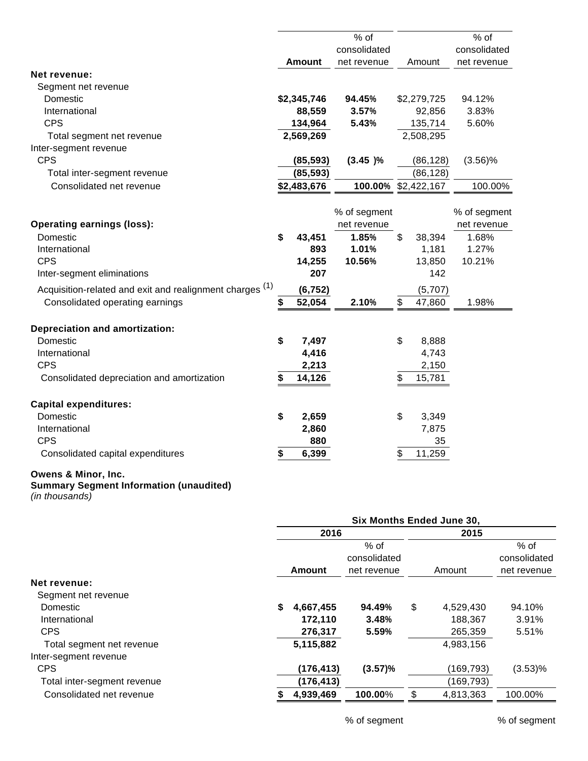|                                                          |               | % of         |              | % of         |
|----------------------------------------------------------|---------------|--------------|--------------|--------------|
|                                                          |               | consolidated |              | consolidated |
|                                                          | <b>Amount</b> | net revenue  | Amount       | net revenue  |
| Net revenue:                                             |               |              |              |              |
| Segment net revenue                                      |               |              |              |              |
| Domestic                                                 | \$2,345,746   | 94.45%       | \$2,279,725  | 94.12%       |
| International                                            | 88,559        | 3.57%        | 92,856       | 3.83%        |
| <b>CPS</b>                                               | 134,964       | 5.43%        | 135,714      | 5.60%        |
| Total segment net revenue                                | 2,569,269     |              | 2,508,295    |              |
| Inter-segment revenue                                    |               |              |              |              |
| <b>CPS</b>                                               | (85, 593)     | $(3.45)$ %   | (86, 128)    | $(3.56)\%$   |
| Total inter-segment revenue                              | (85, 593)     |              | (86, 128)    |              |
| Consolidated net revenue                                 | \$2,483,676   | 100.00%      | \$2,422,167  | 100.00%      |
|                                                          |               |              |              |              |
|                                                          |               | % of segment |              | % of segment |
| <b>Operating earnings (loss):</b>                        |               | net revenue  |              | net revenue  |
| Domestic                                                 | \$<br>43,451  | 1.85%        | \$<br>38,394 | 1.68%        |
| International                                            | 893           | 1.01%        | 1,181        | 1.27%        |
| <b>CPS</b>                                               | 14,255        | 10.56%       | 13,850       | 10.21%       |
| Inter-segment eliminations                               | 207           |              | 142          |              |
|                                                          |               |              |              |              |
| Acquisition-related and exit and realignment charges (1) | (6, 752)      |              | (5,707)      |              |
| Consolidated operating earnings                          | \$<br>52,054  | 2.10%        | \$<br>47,860 | 1.98%        |
|                                                          |               |              |              |              |
| <b>Depreciation and amortization:</b>                    |               |              |              |              |
| Domestic                                                 | \$<br>7,497   |              | \$<br>8,888  |              |
| International                                            | 4,416         |              | 4,743        |              |
| <b>CPS</b>                                               | 2,213         |              | 2,150        |              |
| Consolidated depreciation and amortization               | \$<br>14,126  |              | \$<br>15,781 |              |
|                                                          |               |              |              |              |
| <b>Capital expenditures:</b>                             |               |              |              |              |
| Domestic                                                 | \$<br>2,659   |              | \$<br>3,349  |              |
| International                                            | 2,860         |              | 7,875        |              |
| <b>CPS</b>                                               | 880           |              | 35           |              |
| Consolidated capital expenditures                        | \$<br>6,399   |              | \$<br>11,259 |              |
|                                                          |               |              |              |              |
|                                                          |               |              |              |              |

#### **Owens & Minor, Inc. Summary Segment Information (unaudited)**

(in thousands)

|                             | Six Months Ended June 30, |              |    |           |              |  |  |  |  |  |
|-----------------------------|---------------------------|--------------|----|-----------|--------------|--|--|--|--|--|
|                             | 2016                      |              |    | 2015      |              |  |  |  |  |  |
|                             |                           | $%$ of       |    |           | $%$ of       |  |  |  |  |  |
|                             |                           | consolidated |    |           | consolidated |  |  |  |  |  |
|                             | Amount                    | net revenue  |    | Amount    | net revenue  |  |  |  |  |  |
| Net revenue:                |                           |              |    |           |              |  |  |  |  |  |
| Segment net revenue         |                           |              |    |           |              |  |  |  |  |  |
| Domestic                    | \$<br>4,667,455           | 94.49%       | \$ | 4,529,430 | 94.10%       |  |  |  |  |  |
| International               | 172,110                   | 3.48%        |    | 188,367   | 3.91%        |  |  |  |  |  |
| <b>CPS</b>                  | 276,317                   | 5.59%        |    | 265,359   | 5.51%        |  |  |  |  |  |
| Total segment net revenue   | 5,115,882                 |              |    | 4,983,156 |              |  |  |  |  |  |
| Inter-segment revenue       |                           |              |    |           |              |  |  |  |  |  |
| <b>CPS</b>                  | (176, 413)                | (3.57)%      |    | (169,793) | $(3.53)\%$   |  |  |  |  |  |
| Total inter-segment revenue | (176,413)                 |              |    | (169,793) |              |  |  |  |  |  |
| Consolidated net revenue    | 4,939,469                 | 100.00%      | \$ | 4,813,363 | 100.00%      |  |  |  |  |  |
|                             |                           |              |    |           |              |  |  |  |  |  |

% of segment  $\%$  of segment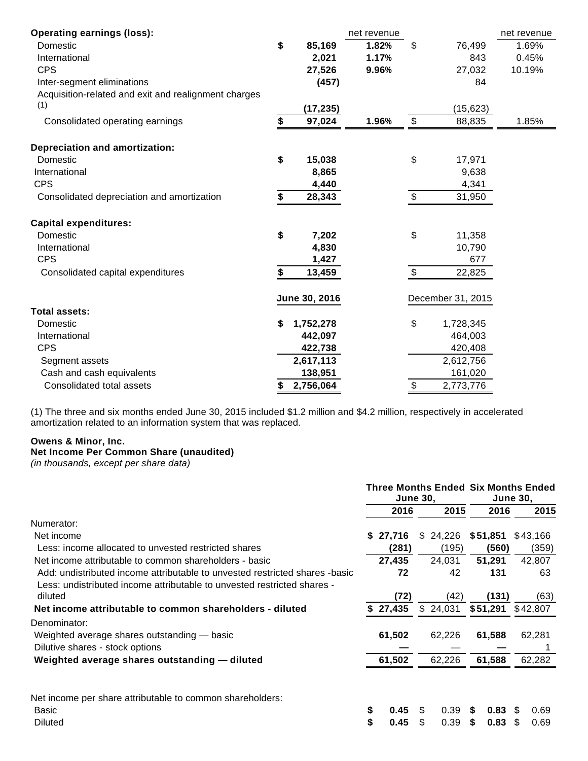| <b>Operating earnings (loss):</b>                    |                 | net revenue |                   | net revenue |
|------------------------------------------------------|-----------------|-------------|-------------------|-------------|
| Domestic                                             | \$<br>85,169    | 1.82%       | \$<br>76,499      | 1.69%       |
| International                                        | 2,021           | 1.17%       | 843               | 0.45%       |
| <b>CPS</b>                                           | 27,526          | 9.96%       | 27,032            | 10.19%      |
| Inter-segment eliminations                           | (457)           |             | 84                |             |
| Acquisition-related and exit and realignment charges |                 |             |                   |             |
| (1)                                                  | (17, 235)       |             | (15, 623)         |             |
| Consolidated operating earnings                      | \$<br>97,024    | 1.96%       | \$<br>88,835      | 1.85%       |
| <b>Depreciation and amortization:</b>                |                 |             |                   |             |
| Domestic                                             | \$<br>15,038    |             | \$<br>17,971      |             |
| International                                        | 8,865           |             | 9,638             |             |
| <b>CPS</b>                                           | 4,440           |             | 4,341             |             |
| Consolidated depreciation and amortization           | \$<br>28,343    |             | \$<br>31,950      |             |
| <b>Capital expenditures:</b>                         |                 |             |                   |             |
| Domestic                                             | \$<br>7,202     |             | \$<br>11,358      |             |
| International                                        | 4,830           |             | 10,790            |             |
| <b>CPS</b>                                           | 1,427           |             | 677               |             |
| Consolidated capital expenditures                    | \$<br>13,459    |             | \$<br>22,825      |             |
|                                                      | June 30, 2016   |             | December 31, 2015 |             |
| <b>Total assets:</b>                                 |                 |             |                   |             |
| Domestic                                             | \$<br>1,752,278 |             | \$<br>1,728,345   |             |
| International                                        | 442,097         |             | 464,003           |             |
| <b>CPS</b>                                           | 422,738         |             | 420,408           |             |
| Segment assets                                       | 2,617,113       |             | 2,612,756         |             |
| Cash and cash equivalents                            | 138,951         |             | 161,020           |             |
| Consolidated total assets                            | \$<br>2,756,064 |             | \$<br>2,773,776   |             |

(1) The three and six months ended June 30, 2015 included \$1.2 million and \$4.2 million, respectively in accelerated amortization related to an information system that was replaced.

# **Owens & Minor, Inc.**

# **Net Income Per Common Share (unaudited)**

(in thousands, except per share data)

|                                                                                    | <b>Three Months Ended Six Months Ended</b><br><b>June 30,</b> |          |     |          | <b>June 30,</b> |            |  |
|------------------------------------------------------------------------------------|---------------------------------------------------------------|----------|-----|----------|-----------------|------------|--|
|                                                                                    |                                                               | 2016     |     | 2015     | 2016            | 2015       |  |
| Numerator:                                                                         |                                                               |          |     |          |                 |            |  |
| Net income                                                                         |                                                               | \$27,716 |     | \$24,226 | \$51,851        | \$43,166   |  |
| Less: income allocated to unvested restricted shares                               |                                                               | (281)    |     | (195)    | (560)           | (359)      |  |
| Net income attributable to common shareholders - basic                             |                                                               | 27,435   |     | 24,031   | 51,291          | 42,807     |  |
| Add: undistributed income attributable to unvested restricted shares -basic        |                                                               | 72       |     | 42       | 131             | 63         |  |
| Less: undistributed income attributable to unvested restricted shares -<br>diluted |                                                               | (72)     |     | (42)     | (131)           | (63)       |  |
| Net income attributable to common shareholders - diluted                           |                                                               | \$27,435 |     | \$24,031 | \$51,291        | \$42,807   |  |
| Denominator:                                                                       |                                                               |          |     |          |                 |            |  |
| Weighted average shares outstanding - basic                                        |                                                               | 61,502   |     | 62,226   | 61,588          | 62,281     |  |
| Dilutive shares - stock options                                                    |                                                               |          |     |          |                 |            |  |
| Weighted average shares outstanding - diluted                                      |                                                               | 61,502   |     | 62,226   | 61,588          | 62,282     |  |
|                                                                                    |                                                               |          |     |          |                 |            |  |
| Net income per share attributable to common shareholders:                          |                                                               |          |     |          |                 |            |  |
| <b>Basic</b>                                                                       | \$<br>\$                                                      | 0.45     | \$. | 0.39     | 0.83<br>S       | -S<br>0.69 |  |
| <b>Diluted</b>                                                                     |                                                               | 0.45     | \$  | 0.39     | 0.83<br>S       | 0.69<br>\$ |  |